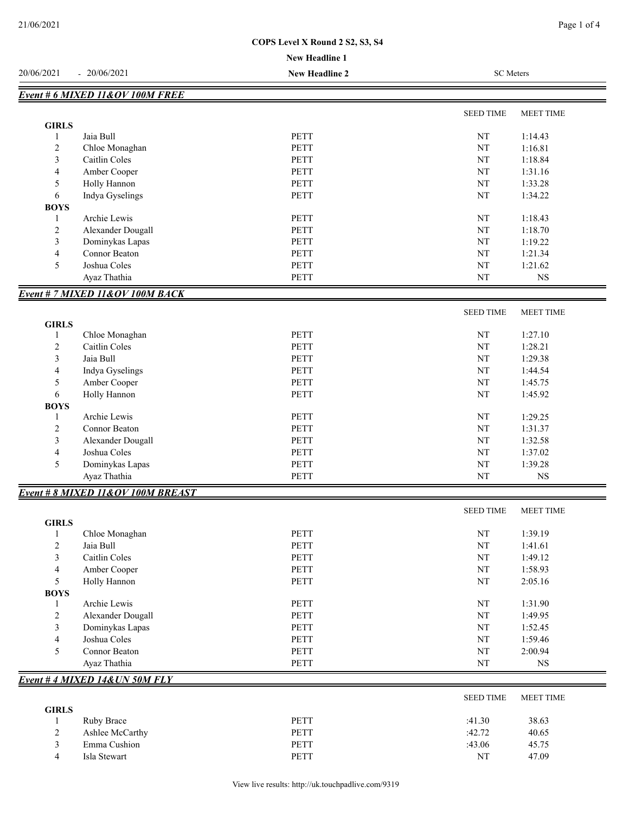## **COPS Level X Round 2 S2, S3, S4**

### **New Headline 1**

|                                |                                   | <b>New Headline 1</b> |                  |                    |
|--------------------------------|-----------------------------------|-----------------------|------------------|--------------------|
| 20/06/2021                     | $-20/06/2021$                     | <b>New Headline 2</b> | <b>SC</b> Meters |                    |
|                                | Event # 6 MIXED 11&OV 100M FREE   |                       |                  |                    |
|                                |                                   |                       | <b>SEED TIME</b> | MEET TIME          |
| <b>GIRLS</b>                   |                                   |                       |                  |                    |
| 1                              | Jaia Bull                         | <b>PETT</b>           | $\rm{NT}$        | 1:14.43            |
| $\overline{c}$                 | Chloe Monaghan                    | PETT                  | NT               | 1:16.81            |
| 3                              | Caitlin Coles                     | <b>PETT</b>           | NT               | 1:18.84            |
| $\overline{4}$                 | Amber Cooper                      | PETT                  | $\rm{NT}$        | 1:31.16            |
| 5                              | Holly Hannon                      | PETT                  | NT               | 1:33.28            |
| 6                              | Indya Gyselings                   | PETT                  | NT               | 1:34.22            |
| <b>BOYS</b>                    | Archie Lewis                      | PETT                  | NT               | 1:18.43            |
| $\mathbf{1}$<br>$\overline{c}$ | Alexander Dougall                 | PETT                  | NT               | 1:18.70            |
| 3                              | Dominykas Lapas                   | PETT                  | NT               | 1:19.22            |
| $\overline{4}$                 | Connor Beaton                     | <b>PETT</b>           | $\rm{NT}$        | 1:21.34            |
| 5                              | Joshua Coles                      | PETT                  | $\rm{NT}$        | 1:21.62            |
|                                | Ayaz Thathia                      | PETT                  | $\rm{NT}$        | $_{\rm NS}$        |
|                                | Event # 7 MIXED 11&OV 100M BACK   |                       |                  |                    |
|                                |                                   |                       | <b>SEED TIME</b> | <b>MEET TIME</b>   |
| <b>GIRLS</b>                   |                                   |                       |                  |                    |
| 1                              | Chloe Monaghan                    | <b>PETT</b>           | NT               | 1:27.10            |
| 2                              | Caitlin Coles                     | PETT                  | NT               | 1:28.21            |
| 3                              | Jaia Bull                         | <b>PETT</b>           | NT               | 1:29.38            |
| $\overline{4}$                 | Indya Gyselings                   | <b>PETT</b>           | NT               | 1:44.54            |
| $\mathfrak s$                  | Amber Cooper                      | PETT                  | NT               | 1:45.75            |
| 6<br><b>BOYS</b>               | Holly Hannon                      | <b>PETT</b>           | NT               | 1:45.92            |
| 1                              | Archie Lewis                      | PETT                  | NT               | 1:29.25            |
| $\overline{c}$                 | Connor Beaton                     | PETT                  | NT               | 1:31.37            |
| 3                              | Alexander Dougall                 | PETT                  | NT               | 1:32.58            |
| $\overline{4}$                 | Joshua Coles                      | <b>PETT</b>           | NT               | 1:37.02            |
| 5                              | Dominykas Lapas                   | PETT                  | $\rm{NT}$        | 1:39.28            |
|                                | Ayaz Thathia                      | PETT                  | NT               | NS                 |
|                                | Event # 8 MIXED 11&OV 100M BREAST |                       |                  |                    |
|                                |                                   |                       | <b>SEED TIME</b> | MEET TIME          |
| <b>GIRLS</b>                   |                                   |                       |                  |                    |
| 1                              | Chloe Monaghan                    | PETT                  | NT               | 1:39.19            |
| $\overline{2}$                 | Jaia Bull                         | PETT                  | NT               | 1:41.61            |
| 3                              | Caitlin Coles                     | PETT<br>PETT          | NT<br>$\rm{NT}$  | 1:49.12<br>1:58.93 |
| $\overline{4}$<br>5            | Amber Cooper<br>Holly Hannon      | PETT                  | $\rm{NT}$        | 2:05.16            |
| <b>BOYS</b>                    |                                   |                       |                  |                    |
| $\mathbf{1}$                   | Archie Lewis                      | PETT                  | $\rm{NT}$        | 1:31.90            |
| $\sqrt{2}$                     | Alexander Dougall                 | PETT                  | $\rm{NT}$        | 1:49.95            |
| $\mathfrak{Z}$                 | Dominykas Lapas                   | PETT                  | $\rm{NT}$        | 1:52.45            |
| $\overline{4}$                 | Joshua Coles                      | PETT                  | NT               | 1:59.46            |
| 5                              | Connor Beaton                     | PETT                  | NT               | 2:00.94            |
|                                | Ayaz Thathia                      | PETT                  | NT               | $_{\rm NS}$        |
|                                | Event # 4 MIXED 14& UN 50M FLY    |                       |                  |                    |
|                                |                                   |                       | <b>SEED TIME</b> | MEET TIME          |
| <b>GIRLS</b><br>1              | Ruby Brace                        | PETT                  | :41.30           | 38.63              |
| $\overline{c}$                 | Ashlee McCarthy                   | PETT                  | :42.72           | 40.65              |
| $\mathfrak{Z}$                 | Emma Cushion                      | PETT                  | :43.06           | 45.75              |
| $\overline{4}$                 | Isla Stewart                      | PETT                  | $\rm{NT}$        | 47.09              |
|                                |                                   |                       |                  |                    |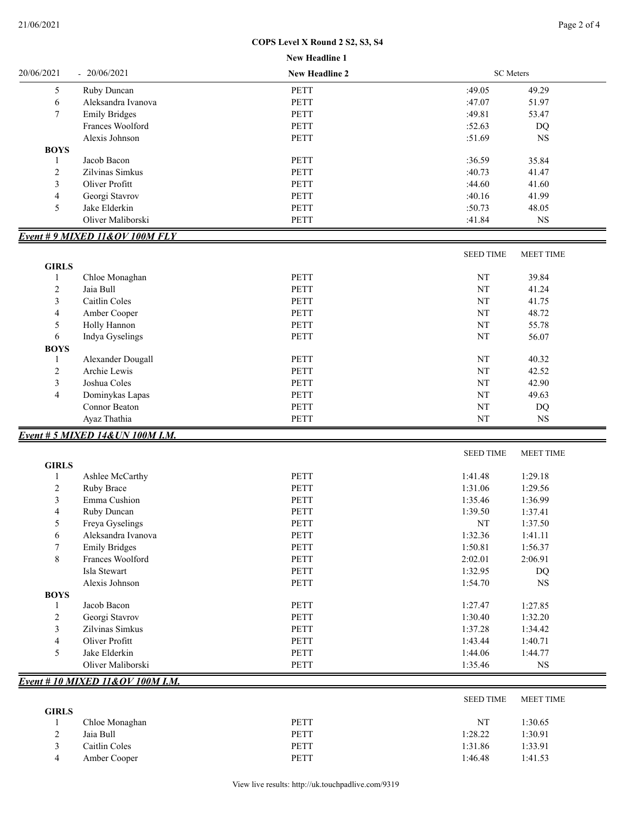# **COPS Level X Round 2 S2, S3, S4**

|                |                                  | <b>New Headline 1</b> |                  |                  |
|----------------|----------------------------------|-----------------------|------------------|------------------|
| 20/06/2021     | $-20/06/2021$                    | <b>New Headline 2</b> | <b>SC</b> Meters |                  |
| 5              | Ruby Duncan                      | <b>PETT</b>           | :49.05           | 49.29            |
| 6              | Aleksandra Ivanova               | <b>PETT</b>           | :47.07           | 51.97            |
| 7              | <b>Emily Bridges</b>             | <b>PETT</b>           | :49.81           | 53.47            |
|                | Frances Woolford                 | <b>PETT</b>           | :52.63           | DQ               |
|                | Alexis Johnson                   | <b>PETT</b>           | :51.69           | <b>NS</b>        |
| <b>BOYS</b>    |                                  |                       |                  |                  |
| 1              | Jacob Bacon                      | <b>PETT</b>           | :36.59           | 35.84            |
| 2              | Zilvinas Simkus                  | <b>PETT</b>           | :40.73           | 41.47            |
| 3              | Oliver Profitt                   | <b>PETT</b>           | :44.60           | 41.60            |
| 4              | Georgi Stavrov                   | <b>PETT</b>           | :40.16           | 41.99            |
| 5              | Jake Elderkin                    | PETT                  | :50.73           | 48.05            |
|                | Oliver Maliborski                | PETT                  | :41.84           | $_{\rm NS}$      |
|                |                                  |                       |                  |                  |
|                | Event #9 MIXED 11&OV 100M FLY    |                       |                  |                  |
|                |                                  |                       | <b>SEED TIME</b> | <b>MEET TIME</b> |
| <b>GIRLS</b>   |                                  |                       |                  |                  |
| 1              | Chloe Monaghan                   | <b>PETT</b>           | $\rm{NT}$        | 39.84            |
| 2              | Jaia Bull                        | <b>PETT</b>           | NT               | 41.24            |
| 3              | Caitlin Coles                    | <b>PETT</b>           | NT               | 41.75            |
| 4              | Amber Cooper                     | <b>PETT</b>           | NT               | 48.72            |
| 5              | Holly Hannon                     | <b>PETT</b>           | NT               | 55.78            |
| 6              | Indya Gyselings                  | <b>PETT</b>           | NT               | 56.07            |
| <b>BOYS</b>    |                                  |                       |                  |                  |
| 1              | Alexander Dougall                | <b>PETT</b>           | NT               | 40.32            |
| $\overline{c}$ | Archie Lewis                     | <b>PETT</b>           | NT               | 42.52            |
| 3              | Joshua Coles                     | <b>PETT</b>           | NT               | 42.90            |
| 4              | Dominykas Lapas                  | PETT                  | NT               | 49.63            |
|                | Connor Beaton                    | <b>PETT</b>           | NT               | DQ               |
|                | Ayaz Thathia                     | PETT                  | NT               | <b>NS</b>        |
|                | Event # 5 MIXED 14& UN 100M I.M. |                       |                  |                  |
|                |                                  |                       | <b>SEED TIME</b> | <b>MEET TIME</b> |
| <b>GIRLS</b>   |                                  |                       |                  |                  |
| 1              | Ashlee McCarthy                  | PETT                  | 1:41.48          | 1:29.18          |
| 2              | Ruby Brace                       | <b>PETT</b>           | 1:31.06          | 1:29.56          |
| 3              | Emma Cushion                     | PETT                  | 1:35.46          | 1:36.99          |
| 4              | Ruby Duncan                      | <b>PETT</b>           | 1:39.50          | 1:37.41          |
| 5              | Freya Gyselings                  | PETT                  | NT               | 1:37.50          |
| 6              | Aleksandra Ivanova               | PETT                  | 1:32.36          | 1:41.11          |
| 7              | <b>Emily Bridges</b>             | PETT                  | 1:50.81          | 1:56.37          |
| 8              | Frances Woolford                 | PETT                  | 2:02.01          | 2:06.91          |
|                | Isla Stewart                     | PETT                  | 1:32.95          | DQ               |
|                | Alexis Johnson                   | PETT                  | 1:54.70          | $_{\rm NS}$      |
| <b>BOYS</b>    |                                  |                       |                  |                  |
| 1              | Jacob Bacon                      | PETT                  | 1:27.47          | 1:27.85          |
| 2              | Georgi Stavrov                   | PETT                  | 1:30.40          | 1:32.20          |
| 3              | Zilvinas Simkus                  | PETT                  | 1:37.28          | 1:34.42          |
| 4              | Oliver Profitt                   | PETT                  | 1:43.44          | 1:40.71          |
| 5              | Jake Elderkin                    | PETT                  | 1:44.06          | 1:44.77          |
|                | Oliver Maliborski                | PETT                  | 1:35.46          | NS               |
|                | Event # 10 MIXED 11&OV 100M I.M. |                       |                  |                  |
|                |                                  |                       |                  |                  |
| <b>GIRLS</b>   |                                  |                       | <b>SEED TIME</b> | MEET TIME        |
| 1              | Chloe Monaghan                   | PETT                  | $\rm{NT}$        | 1:30.65          |
| 2              | Jaia Bull                        | PETT                  | 1:28.22          |                  |
|                | Caitlin Coles                    | PETT                  | 1:31.86          | 1:30.91          |
| 3              |                                  |                       |                  | 1:33.91          |
| 4              | Amber Cooper                     | PETT                  | 1:46.48          | 1:41.53          |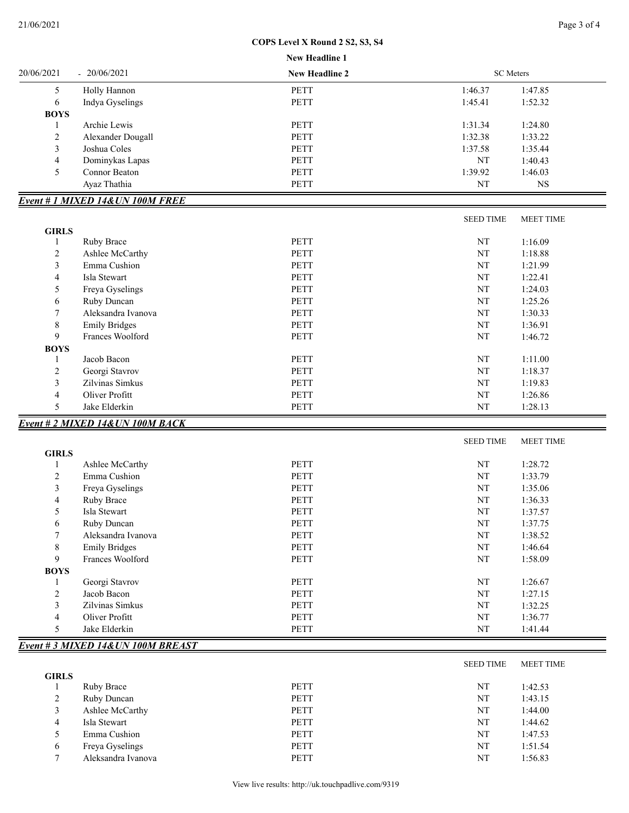*Event # 3 MIXED 14&UN 100M BREAST*

# **COPS Level X Round 2 S2, S3, S4**

|                | COPS Level X Round 2 S2, S3, S4  |                |                        |                  |  |
|----------------|----------------------------------|----------------|------------------------|------------------|--|
|                | New Headline 1                   |                |                        |                  |  |
| 20/06/2021     | $-20/06/2021$                    | New Headline 2 | <b>SC</b> Meters       |                  |  |
| 5              | Holly Hannon                     | <b>PETT</b>    | 1:46.37                | 1:47.85          |  |
| 6              | Indya Gyselings                  | <b>PETT</b>    | 1:45.41                | 1:52.32          |  |
| <b>BOYS</b>    |                                  |                |                        |                  |  |
| 1              | Archie Lewis                     | <b>PETT</b>    | 1:31.34                | 1:24.80          |  |
| 2              | Alexander Dougall                | PETT           | 1:32.38                | 1:33.22          |  |
| 3              | Joshua Coles                     | <b>PETT</b>    | 1:37.58                | 1:35.44          |  |
| 4              | Dominykas Lapas                  | PETT           | NT                     | 1:40.43          |  |
| 5              | Connor Beaton                    | PETT           | 1:39.92                | 1:46.03          |  |
|                | Ayaz Thathia                     | PETT           | NT                     | <b>NS</b>        |  |
|                | Event # 1 MIXED 14& UN 100M FREE |                |                        |                  |  |
|                |                                  |                | <b>SEED TIME</b>       | <b>MEET TIME</b> |  |
| <b>GIRLS</b>   |                                  |                |                        |                  |  |
| 1              | Ruby Brace                       | <b>PETT</b>    | NT                     | 1:16.09          |  |
| 2              | Ashlee McCarthy                  | <b>PETT</b>    | NT                     | 1:18.88          |  |
| 3              | Emma Cushion                     | <b>PETT</b>    | NT                     | 1:21.99          |  |
| 4              | Isla Stewart                     | PETT           | NT                     | 1:22.41          |  |
| 5              | Freya Gyselings                  | <b>PETT</b>    | NT                     | 1:24.03          |  |
| 6              | Ruby Duncan                      | <b>PETT</b>    | NT                     | 1:25.26          |  |
| 7              | Aleksandra Ivanova               | <b>PETT</b>    | NT                     | 1:30.33          |  |
| 8              | <b>Emily Bridges</b>             | <b>PETT</b>    | NT                     | 1:36.91          |  |
| 9              | Frances Woolford                 | <b>PETT</b>    | NT                     | 1:46.72          |  |
| <b>BOYS</b>    |                                  |                |                        |                  |  |
| 1              | Jacob Bacon                      | PETT           | NT                     | 1:11.00          |  |
| 2              | Georgi Stavrov                   | PETT           | NT                     | 1:18.37          |  |
| 3              | Zilvinas Simkus                  | <b>PETT</b>    | NT                     | 1:19.83          |  |
| 4              | Oliver Profitt                   | <b>PETT</b>    | NT                     | 1:26.86          |  |
| 5              | Jake Elderkin                    | PETT           | NT                     | 1:28.13          |  |
|                | Event # 2 MIXED 14& UN 100M BACK |                |                        |                  |  |
|                |                                  |                | <b>SEED TIME</b>       | <b>MEET TIME</b> |  |
| <b>GIRLS</b>   |                                  |                |                        |                  |  |
| 1              | Ashlee McCarthy                  | PETT           | NT                     | 1:28.72          |  |
| 2              | Emma Cushion                     | <b>PETT</b>    | NT                     | 1:33.79          |  |
| 3              | Freya Gyselings                  | PETT           | NT                     | 1:35.06          |  |
| 4              | Ruby Brace                       | PETT           | $\mathbf{N}\mathbf{T}$ | 1:36.33          |  |
| 5              | Isla Stewart                     | PETT           | NT                     | 1:37.57          |  |
| 6              | Ruby Duncan                      | PETT           | NT                     | 1:37.75          |  |
| 7              | Aleksandra Ivanova               | PETT           | NT                     | 1:38.52          |  |
| 8              | <b>Emily Bridges</b>             | PETT           | NT                     | 1:46.64          |  |
| 9              | Frances Woolford                 | PETT           | NT                     | 1:58.09          |  |
| <b>BOYS</b>    |                                  |                |                        |                  |  |
| 1              | Georgi Stavrov                   | PETT           | NT                     | 1:26.67          |  |
| $\overline{c}$ | Jacob Bacon                      | PETT           | NT                     | 1:27.15          |  |
| 3              | Zilvinas Simkus                  | PETT           | NT                     | 1:32.25          |  |
| 4              | Oliver Profitt                   | PETT           | NT                     | 1:36.77          |  |
| 5              | Jake Elderkin                    | PETT           | $\mathbf{N}\mathbf{T}$ | 1:41.44          |  |

## SEED TIME MEET TIME **GIRLS** 1 Ruby Brace **PETT** NT 1:42.53 2 Ruby Duncan PETT NT 1:43.15 3 Ashlee McCarthy PETT NT 1:44.00 4 Isla Stewart 1:44.62 5 Emma Cushion **PETT** NT 1:47.53 6 Freya Gyselings PETT NT 1:51.54 7 Aleksandra Ivanova PETT NT 1:56.83